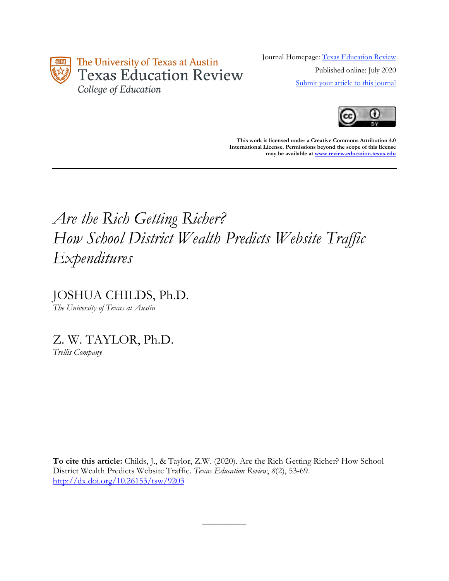

Journal Homepage: [Texas Education Review](https://review.education.utexas.edu/) Published online: July 2020 [Submit your article to this journal](https://review.education.utexas.edu/guidelines/)



**This work is licensed under a Creative Commons Attribution 4.0 International License. Permissions beyond the scope of this license may be available a[t www.review.education.texas.edu](http://www.review.education.texas.edu/)**

# *Are the Rich Getting Richer? How School District Wealth Predicts Website Traffic Expenditures*

JOSHUA CHILDS, Ph.D. *The University of Texas at Austin*

Z. W. TAYLOR, Ph.D. *Trellis Company*

**To cite this article:** Childs, J., & Taylor, Z.W. (2020). Are the Rich Getting Richer? How School District Wealth Predicts Website Traffic. *Texas Education Review*, *8*(2), 53-69. <http://dx.doi.org/10.26153/tsw/9203>

 $\overline{\phantom{a}}$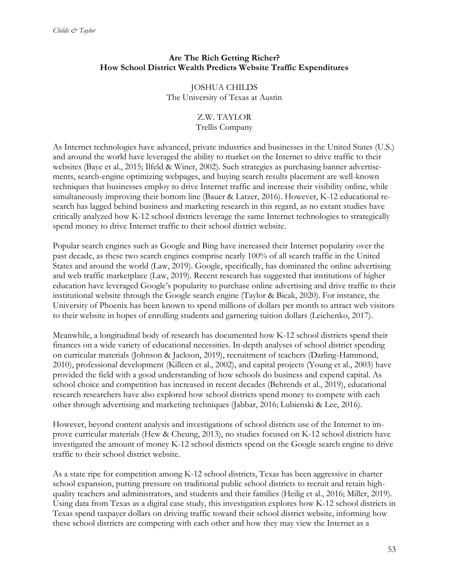## **Are The Rich Getting Richer? How School District Wealth Predicts Website Traffic Expenditures**

JOSHUA CHILDS The University of Texas at Austin

## Z.W. TAYLOR

#### Trellis Company

As Internet technologies have advanced, private industries and businesses in the United States (U.S.) and around the world have leveraged the ability to market on the Internet to drive traffic to their websites (Baye et al., 2015; Ilfeld & Winer, 2002). Such strategies as purchasing banner advertisements, search-engine optimizing webpages, and buying search results placement are well-known techniques that businesses employ to drive Internet traffic and increase their visibility online, while simultaneously improving their bottom line (Bauer & Latzer, 2016). However, K-12 educational research has lagged behind business and marketing research in this regard, as no extant studies have critically analyzed how K-12 school districts leverage the same Internet technologies to strategically spend money to drive Internet traffic to their school district website.

Popular search engines such as Google and Bing have increased their Internet popularity over the past decade, as these two search engines comprise nearly 100% of all search traffic in the United States and around the world (Law, 2019). Google, specifically, has dominated the online advertising and web traffic marketplace (Law, 2019). Recent research has suggested that institutions of higher education have leveraged Google's popularity to purchase online advertising and drive traffic to their institutional website through the Google search engine (Taylor & Bicak, 2020). For instance, the University of Phoenix has been known to spend millions of dollars per month to attract web visitors to their website in hopes of enrolling students and garnering tuition dollars (Leichenko, 2017).

Meanwhile, a longitudinal body of research has documented how K-12 school districts spend their finances on a wide variety of educational necessities. In-depth analyses of school district spending on curricular materials (Johnson & Jackson, 2019), recruitment of teachers (Darling-Hammond, 2010), professional development (Killeen et al., 2002), and capital projects (Young et al., 2003) have provided the field with a good understanding of how schools do business and expend capital. As school choice and competition has increased in recent decades (Behrends et al., 2019), educational research researchers have also explored how school districts spend money to compete with each other through advertising and marketing techniques (Jabbar, 2016; Lubienski & Lee, 2016).

However, beyond content analysis and investigations of school districts use of the Internet to improve curricular materials (Hew & Cheung, 2013), no studies focused on K-12 school districts have investigated the amount of money K-12 school districts spend on the Google search engine to drive traffic to their school district website.

As a state ripe for competition among K-12 school districts, Texas has been aggressive in charter school expansion, putting pressure on traditional public school districts to recruit and retain highquality teachers and administrators, and students and their families (Heilig et al., 2016; Miller, 2019). Using data from Texas as a digital case study, this investigation explores how K-12 school districts in Texas spend taxpayer dollars on driving traffic toward their school district website, informing how these school districts are competing with each other and how they may view the Internet as a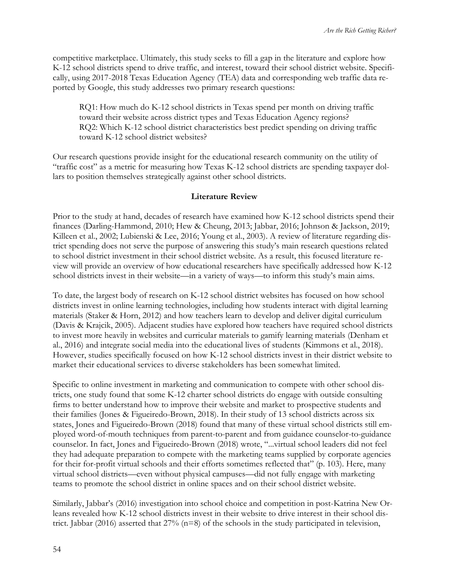competitive marketplace. Ultimately, this study seeks to fill a gap in the literature and explore how K-12 school districts spend to drive traffic, and interest, toward their school district website. Specifically, using 2017-2018 Texas Education Agency (TEA) data and corresponding web traffic data reported by Google, this study addresses two primary research questions:

RQ1: How much do K-12 school districts in Texas spend per month on driving traffic toward their website across district types and Texas Education Agency regions? RQ2: Which K-12 school district characteristics best predict spending on driving traffic toward K-12 school district websites?

Our research questions provide insight for the educational research community on the utility of "traffic cost" as a metric for measuring how Texas K-12 school districts are spending taxpayer dollars to position themselves strategically against other school districts.

#### **Literature Review**

Prior to the study at hand, decades of research have examined how K-12 school districts spend their finances (Darling-Hammond, 2010; Hew & Cheung, 2013; Jabbar, 2016; Johnson & Jackson, 2019; Killeen et al., 2002; Lubienski & Lee, 2016; Young et al., 2003). A review of literature regarding district spending does not serve the purpose of answering this study's main research questions related to school district investment in their school district website. As a result, this focused literature review will provide an overview of how educational researchers have specifically addressed how K-12 school districts invest in their website—in a variety of ways—to inform this study's main aims.

To date, the largest body of research on K-12 school district websites has focused on how school districts invest in online learning technologies, including how students interact with digital learning materials (Staker & Horn, 2012) and how teachers learn to develop and deliver digital curriculum (Davis & Krajcik, 2005). Adjacent studies have explored how teachers have required school districts to invest more heavily in websites and curricular materials to gamify learning materials (Denham et al., 2016) and integrate social media into the educational lives of students (Kimmons et al., 2018). However, studies specifically focused on how K-12 school districts invest in their district website to market their educational services to diverse stakeholders has been somewhat limited.

Specific to online investment in marketing and communication to compete with other school districts, one study found that some K-12 charter school districts do engage with outside consulting firms to better understand how to improve their website and market to prospective students and their families (Jones & Figueiredo-Brown, 2018). In their study of 13 school districts across six states, Jones and Figueiredo-Brown (2018) found that many of these virtual school districts still employed word-of-mouth techniques from parent-to-parent and from guidance counselor-to-guidance counselor. In fact, Jones and Figueiredo-Brown (2018) wrote, "...virtual school leaders did not feel they had adequate preparation to compete with the marketing teams supplied by corporate agencies for their for-profit virtual schools and their efforts sometimes reflected that" (p. 103). Here, many virtual school districts—even without physical campuses—did not fully engage with marketing teams to promote the school district in online spaces and on their school district website.

Similarly, Jabbar's (2016) investigation into school choice and competition in post-Katrina New Orleans revealed how K-12 school districts invest in their website to drive interest in their school district. Jabbar (2016) asserted that 27% (n=8) of the schools in the study participated in television,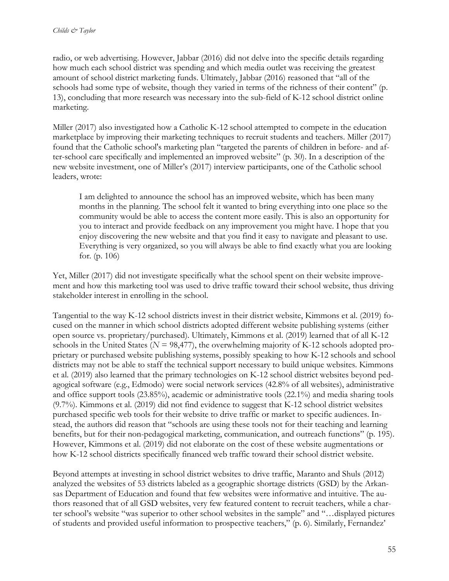radio, or web advertising. However, Jabbar (2016) did not delve into the specific details regarding how much each school district was spending and which media outlet was receiving the greatest amount of school district marketing funds. Ultimately, Jabbar (2016) reasoned that "all of the schools had some type of website, though they varied in terms of the richness of their content" (p. 13), concluding that more research was necessary into the sub-field of K-12 school district online marketing.

Miller (2017) also investigated how a Catholic K-12 school attempted to compete in the education marketplace by improving their marketing techniques to recruit students and teachers. Miller (2017) found that the Catholic school's marketing plan "targeted the parents of children in before- and after-school care specifically and implemented an improved website" (p. 30). In a description of the new website investment, one of Miller's (2017) interview participants, one of the Catholic school leaders, wrote:

I am delighted to announce the school has an improved website, which has been many months in the planning. The school felt it wanted to bring everything into one place so the community would be able to access the content more easily. This is also an opportunity for you to interact and provide feedback on any improvement you might have. I hope that you enjoy discovering the new website and that you find it easy to navigate and pleasant to use. Everything is very organized, so you will always be able to find exactly what you are looking for. (p. 106)

Yet, Miller (2017) did not investigate specifically what the school spent on their website improvement and how this marketing tool was used to drive traffic toward their school website, thus driving stakeholder interest in enrolling in the school.

Tangential to the way K-12 school districts invest in their district website, Kimmons et al. (2019) focused on the manner in which school districts adopted different website publishing systems (either open source vs. proprietary/purchased). Ultimately, Kimmons et al. (2019) learned that of all K-12 schools in the United States ( $N = 98,477$ ), the overwhelming majority of K-12 schools adopted proprietary or purchased website publishing systems, possibly speaking to how K-12 schools and school districts may not be able to staff the technical support necessary to build unique websites. Kimmons et al. (2019) also learned that the primary technologies on K-12 school district websites beyond pedagogical software (e.g., Edmodo) were social network services (42.8% of all websites), administrative and office support tools (23.85%), academic or administrative tools (22.1%) and media sharing tools (9.7%). Kimmons et al. (2019) did not find evidence to suggest that K-12 school district websites purchased specific web tools for their website to drive traffic or market to specific audiences. Instead, the authors did reason that "schools are using these tools not for their teaching and learning benefits, but for their non-pedagogical marketing, communication, and outreach functions" (p. 195). However, Kimmons et al. (2019) did not elaborate on the cost of these website augmentations or how K-12 school districts specifically financed web traffic toward their school district website.

Beyond attempts at investing in school district websites to drive traffic, Maranto and Shuls (2012) analyzed the websites of 53 districts labeled as a geographic shortage districts (GSD) by the Arkansas Department of Education and found that few websites were informative and intuitive. The authors reasoned that of all GSD websites, very few featured content to recruit teachers, while a charter school's website "was superior to other school websites in the sample" and "…displayed pictures of students and provided useful information to prospective teachers," (p. 6). Similarly, Fernandez'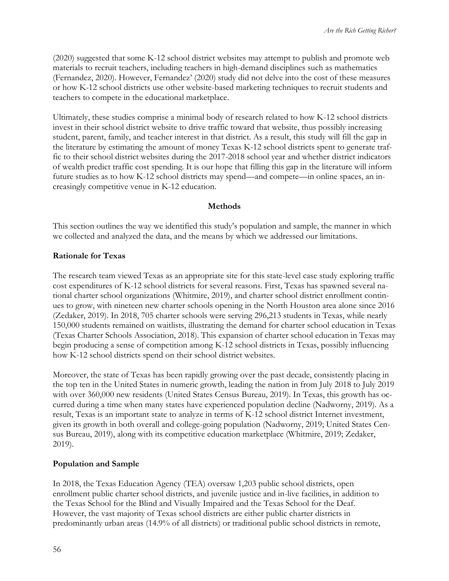(2020) suggested that some K-12 school district websites may attempt to publish and promote web materials to recruit teachers, including teachers in high-demand disciplines such as mathematics (Fernandez, 2020). However, Fernandez' (2020) study did not delve into the cost of these measures or how K-12 school districts use other website-based marketing techniques to recruit students and teachers to compete in the educational marketplace.

Ultimately, these studies comprise a minimal body of research related to how K-12 school districts invest in their school district website to drive traffic toward that website, thus possibly increasing student, parent, family, and teacher interest in that district. As a result, this study will fill the gap in the literature by estimating the amount of money Texas K-12 school districts spent to generate traffic to their school district websites during the 2017-2018 school year and whether district indicators of wealth predict traffic cost spending. It is our hope that filling this gap in the literature will inform future studies as to how K-12 school districts may spend—and compete—in online spaces, an increasingly competitive venue in K-12 education.

#### **Methods**

This section outlines the way we identified this study's population and sample, the manner in which we collected and analyzed the data, and the means by which we addressed our limitations.

#### **Rationale for Texas**

The research team viewed Texas as an appropriate site for this state-level case study exploring traffic cost expenditures of K-12 school districts for several reasons. First, Texas has spawned several national charter school organizations (Whitmire, 2019), and charter school district enrollment continues to grow, with nineteen new charter schools opening in the North Houston area alone since 2016 (Zedaker, 2019). In 2018, 705 charter schools were serving 296,213 students in Texas, while nearly 150,000 students remained on waitlists, illustrating the demand for charter school education in Texas (Texas Charter Schools Association, 2018). This expansion of charter school education in Texas may begin producing a sense of competition among K-12 school districts in Texas, possibly influencing how K-12 school districts spend on their school district websites.

Moreover, the state of Texas has been rapidly growing over the past decade, consistently placing in the top ten in the United States in numeric growth, leading the nation in from July 2018 to July 2019 with over 360,000 new residents (United States Census Bureau, 2019). In Texas, this growth has occurred during a time when many states have experienced population decline (Nadworny, 2019). As a result, Texas is an important state to analyze in terms of K-12 school district Internet investment, given its growth in both overall and college-going population (Nadworny, 2019; United States Census Bureau, 2019), along with its competitive education marketplace (Whitmire, 2019; Zedaker, 2019).

#### **Population and Sample**

In 2018, the Texas Education Agency (TEA) oversaw 1,203 public school districts, open enrollment public charter school districts, and juvenile justice and in-live facilities, in addition to the Texas School for the Blind and Visually Impaired and the Texas School for the Deaf. However, the vast majority of Texas school districts are either public charter districts in predominantly urban areas (14.9% of all districts) or traditional public school districts in remote,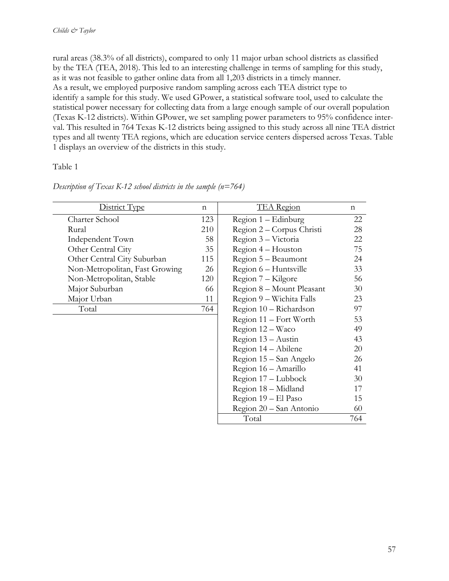rural areas (38.3% of all districts), compared to only 11 major urban school districts as classified by the TEA (TEA, 2018). This led to an interesting challenge in terms of sampling for this study, as it was not feasible to gather online data from all 1,203 districts in a timely manner. As a result, we employed purposive random sampling across each TEA district type to identify a sample for this study. We used GPower, a statistical software tool, used to calculate the statistical power necessary for collecting data from a large enough sample of our overall population (Texas K-12 districts). Within GPower, we set sampling power parameters to 95% confidence interval. This resulted in 764 Texas K-12 districts being assigned to this study across all nine TEA district types and all twenty TEA regions, which are education service centers dispersed across Texas. Table 1 displays an overview of the districts in this study.

#### Table 1

| District Type                  | $\mathbf n$ | <b>TEA</b> Region         | $\mathbf n$ |
|--------------------------------|-------------|---------------------------|-------------|
| Charter School                 | 123         | $Region 1 - Edinburgh$    | 22          |
| Rural                          | 210         | Region 2 – Corpus Christi | 28          |
| Independent Town               | 58          | Region 3 – Victoria       | 22          |
| Other Central City             | 35          | Region 4 - Houston        | 75          |
| Other Central City Suburban    | 115         | Region 5 – Beaumont       | 24          |
| Non-Metropolitan, Fast Growing | 26          | Region 6 – Huntsville     | 33          |
| Non-Metropolitan, Stable       | 120         | Region 7 – Kilgore        | 56.         |
| Major Suburban                 | 66          | Region 8 - Mount Pleasant | 30          |
| Major Urban                    | 11          | Region 9 - Wichita Falls  | 23          |
| Total                          | 764         | Region 10 - Richardson    | 97          |
|                                |             | Region 11 - Fort Worth    | 53          |
|                                |             | Region 12 - Waco          | 49          |
|                                |             | Region 13 – Austin        | 43          |
|                                |             | Region 14 – Abilene       | 20          |
|                                |             | Region 15 – San Angelo    | 26          |
|                                |             | Region 16 - Amarillo      | 41          |
|                                |             | Region 17 - Lubbock       | 30          |
|                                |             | Region 18 - Midland       | 17          |
|                                |             | Region 19 – El Paso       | 15          |
|                                |             | Region 20 – San Antonio   | 60          |
|                                |             | Total                     | 764         |

*Description of Texas K-12 school districts in the sample (n=764)*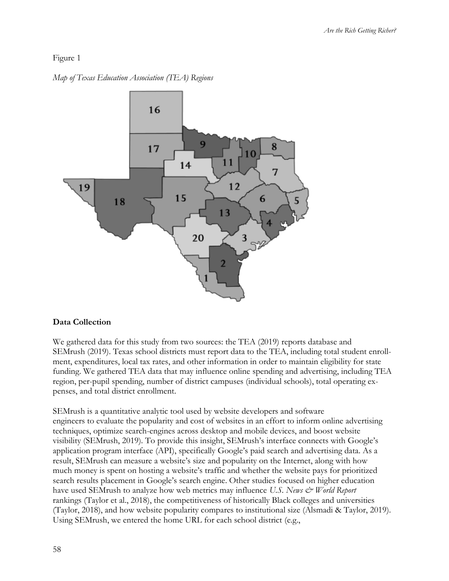## Figure 1

*Map of Texas Education Association (TEA) Regions*



## **Data Collection**

We gathered data for this study from two sources: the TEA (2019) reports database and SEMrush (2019). Texas school districts must report data to the TEA, including total student enrollment, expenditures, local tax rates, and other information in order to maintain eligibility for state funding. We gathered TEA data that may influence online spending and advertising, including TEA region, per-pupil spending, number of district campuses (individual schools), total operating expenses, and total district enrollment.

SEMrush is a quantitative analytic tool used by website developers and software engineers to evaluate the popularity and cost of websites in an effort to inform online advertising techniques, optimize search-engines across desktop and mobile devices, and boost website visibility (SEMrush, 2019). To provide this insight, SEMrush's interface connects with Google's application program interface (API), specifically Google's paid search and advertising data. As a result, SEMrush can measure a website's size and popularity on the Internet, along with how much money is spent on hosting a website's traffic and whether the website pays for prioritized search results placement in Google's search engine. Other studies focused on higher education have used SEMrush to analyze how web metrics may influence *U.S. News & World Report* rankings (Taylor et al., 2018), the competitiveness of historically Black colleges and universities (Taylor, 2018), and how website popularity compares to institutional size (Alsmadi & Taylor, 2019). Using SEMrush, we entered the home URL for each school district (e.g.,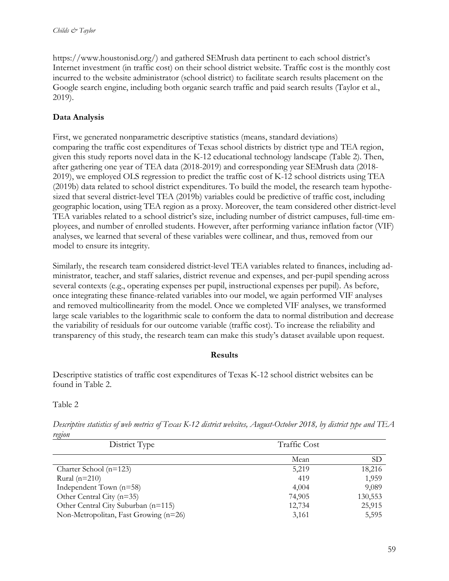https://www.houstonisd.org/) and gathered SEMrush data pertinent to each school district's Internet investment (in traffic cost) on their school district website. Traffic cost is the monthly cost incurred to the website administrator (school district) to facilitate search results placement on the Google search engine, including both organic search traffic and paid search results (Taylor et al., 2019).

## **Data Analysis**

First, we generated nonparametric descriptive statistics (means, standard deviations) comparing the traffic cost expenditures of Texas school districts by district type and TEA region, given this study reports novel data in the K-12 educational technology landscape (Table 2). Then, after gathering one year of TEA data (2018-2019) and corresponding year SEMrush data (2018- 2019), we employed OLS regression to predict the traffic cost of K-12 school districts using TEA (2019b) data related to school district expenditures. To build the model, the research team hypothesized that several district-level TEA (2019b) variables could be predictive of traffic cost, including geographic location, using TEA region as a proxy. Moreover, the team considered other district-level TEA variables related to a school district's size, including number of district campuses, full-time employees, and number of enrolled students. However, after performing variance inflation factor (VIF) analyses, we learned that several of these variables were collinear, and thus, removed from our model to ensure its integrity.

Similarly, the research team considered district-level TEA variables related to finances, including administrator, teacher, and staff salaries, district revenue and expenses, and per-pupil spending across several contexts (e.g., operating expenses per pupil, instructional expenses per pupil). As before, once integrating these finance-related variables into our model, we again performed VIF analyses and removed multicollinearity from the model. Once we completed VIF analyses, we transformed large scale variables to the logarithmic scale to conform the data to normal distribution and decrease the variability of residuals for our outcome variable (traffic cost). To increase the reliability and transparency of this study, the research team can make this study's dataset available upon request.

#### **Results**

Descriptive statistics of traffic cost expenditures of Texas K-12 school district websites can be found in Table 2.

## Table 2

| $\sim$                                |                     |           |  |
|---------------------------------------|---------------------|-----------|--|
| District Type                         | <b>Traffic Cost</b> |           |  |
|                                       |                     |           |  |
|                                       | Mean                | <b>SD</b> |  |
| Charter School $(n=123)$              | 5,219               | 18,216    |  |
| Rural $(n=210)$                       | 419                 | 1,959     |  |
| Independent Town $(n=58)$             | 4,004               | 9,089     |  |
| Other Central City $(n=35)$           | 74,905              | 130,553   |  |
| Other Central City Suburban (n=115)   | 12,734              | 25,915    |  |
| Non-Metropolitan, Fast Growing (n=26) | 3,161               | 5,595     |  |

*Descriptive statistics of web metrics of Texas K-12 district websites, August-October 2018, by district type and TEA region*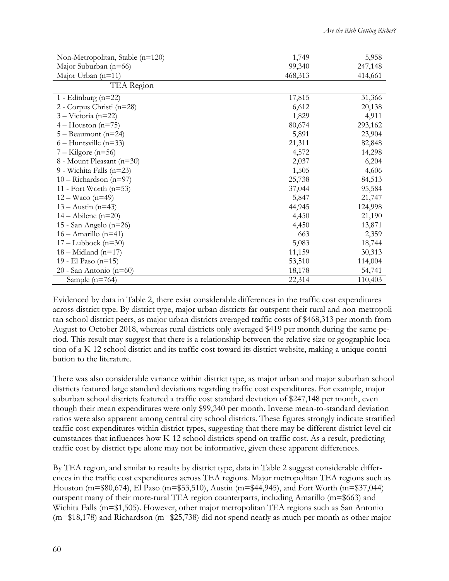| Non-Metropolitan, Stable (n=120) | 1,749   | 5,958   |
|----------------------------------|---------|---------|
| Major Suburban (n=66)            | 99,340  | 247,148 |
| Major Urban $(n=11)$             | 468,313 | 414,661 |
| TEA Region                       |         |         |
| 1 - Edinburg $(n=22)$            | 17,815  | 31,366  |
| 2 - Corpus Christi (n=28)        | 6,612   | 20,138  |
| $3 - Victoria (n=22)$            | 1,829   | 4,911   |
| $4 - Houston (n=75)$             | 80,674  | 293,162 |
| $5 -$ Beaumont (n=24)            | 5,891   | 23,904  |
| $6 -$ Huntsville (n=33)          | 21,311  | 82,848  |
| $7 -$ Kilgore (n=56)             | 4,572   | 14,298  |
| 8 - Mount Pleasant (n=30)        | 2,037   | 6,204   |
| 9 - Wichita Falls (n=23)         | 1,505   | 4,606   |
| $10 -$ Richardson (n=97)         | 25,738  | 84,513  |
| 11 - Fort Worth $(n=53)$         | 37,044  | 95,584  |
| $12 - Wacc (n=49)$               | 5,847   | 21,747  |
| $13 - \text{Austin}$ (n=43)      | 44,945  | 124,998 |
| $14 -$ Abilene (n=20)            | 4,450   | 21,190  |
| 15 - San Angelo (n=26)           | 4,450   | 13,871  |
| $16 - \text{Amarillo}$ (n=41)    | 663     | 2,359   |
| $17 -$ Lubbock (n=30)            | 5,083   | 18,744  |
| $18 -$ Midland (n=17)            | 11,159  | 30,313  |
| 19 - El Paso (n=15)              | 53,510  | 114,004 |
| 20 - San Antonio (n=60)          | 18,178  | 54,741  |
| Sample $(n=764)$                 | 22,314  | 110,403 |

Evidenced by data in Table 2, there exist considerable differences in the traffic cost expenditures across district type. By district type, major urban districts far outspent their rural and non-metropolitan school district peers, as major urban districts averaged traffic costs of \$468,313 per month from August to October 2018, whereas rural districts only averaged \$419 per month during the same period. This result may suggest that there is a relationship between the relative size or geographic location of a K-12 school district and its traffic cost toward its district website, making a unique contribution to the literature.

There was also considerable variance within district type, as major urban and major suburban school districts featured large standard deviations regarding traffic cost expenditures. For example, major suburban school districts featured a traffic cost standard deviation of \$247,148 per month, even though their mean expenditures were only \$99,340 per month. Inverse mean-to-standard deviation ratios were also apparent among central city school districts. These figures strongly indicate stratified traffic cost expenditures within district types, suggesting that there may be different district-level circumstances that influences how K-12 school districts spend on traffic cost. As a result, predicting traffic cost by district type alone may not be informative, given these apparent differences.

By TEA region, and similar to results by district type, data in Table 2 suggest considerable differences in the traffic cost expenditures across TEA regions. Major metropolitan TEA regions such as Houston (m=\$80,674), El Paso (m=\$53,510), Austin (m=\$44,945), and Fort Worth (m=\$37,044) outspent many of their more-rural TEA region counterparts, including Amarillo (m=\$663) and Wichita Falls (m=\$1,505). However, other major metropolitan TEA regions such as San Antonio (m=\$18,178) and Richardson (m=\$25,738) did not spend nearly as much per month as other major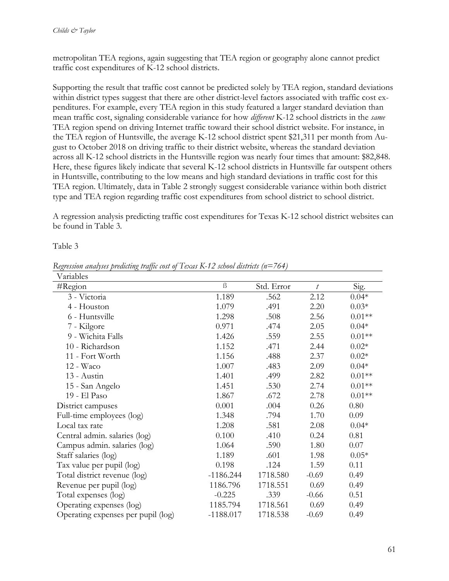metropolitan TEA regions, again suggesting that TEA region or geography alone cannot predict traffic cost expenditures of K-12 school districts.

Supporting the result that traffic cost cannot be predicted solely by TEA region, standard deviations within district types suggest that there are other district-level factors associated with traffic cost expenditures. For example, every TEA region in this study featured a larger standard deviation than mean traffic cost, signaling considerable variance for how *different* K-12 school districts in the *same* TEA region spend on driving Internet traffic toward their school district website. For instance, in the TEA region of Huntsville, the average K-12 school district spent \$21,311 per month from August to October 2018 on driving traffic to their district website, whereas the standard deviation across all K-12 school districts in the Huntsville region was nearly four times that amount: \$82,848. Here, these figures likely indicate that several K-12 school districts in Huntsville far outspent others in Huntsville, contributing to the low means and high standard deviations in traffic cost for this TEA region. Ultimately, data in Table 2 strongly suggest considerable variance within both district type and TEA region regarding traffic cost expenditures from school district to school district.

A regression analysis predicting traffic cost expenditures for Texas K-12 school district websites can be found in Table 3.

Table 3

| Variables                          |             |            |                  |          |
|------------------------------------|-------------|------------|------------------|----------|
| $\#Region$                         | $\beta$     | Std. Error | $\boldsymbol{t}$ | Sig.     |
| 3 - Victoria                       | 1.189       | .562       | 2.12             | $0.04*$  |
| 4 - Houston                        | 1.079       | .491       | 2.20             | $0.03*$  |
| 6 - Huntsville                     | 1.298       | .508       | 2.56             | $0.01**$ |
| 7 - Kilgore                        | 0.971       | .474       | 2.05             | $0.04*$  |
| 9 - Wichita Falls                  | 1.426       | .559       | 2.55             | $0.01**$ |
| 10 - Richardson                    | 1.152       | .471       | 2.44             | $0.02*$  |
| 11 - Fort Worth                    | 1.156       | .488       | 2.37             | $0.02*$  |
| 12 - Waco                          | 1.007       | .483       | 2.09             | $0.04*$  |
| 13 - Austin                        | 1.401       | .499       | 2.82             | $0.01**$ |
| 15 - San Angelo                    | 1.451       | .530       | 2.74             | $0.01**$ |
| 19 - El Paso                       | 1.867       | .672       | 2.78             | $0.01**$ |
| District campuses                  | 0.001       | .004       | 0.26             | 0.80     |
| Full-time employees (log)          | 1.348       | .794       | 1.70             | 0.09     |
| Local tax rate                     | 1.208       | .581       | 2.08             | $0.04*$  |
| Central admin. salaries (log)      | 0.100       | .410       | 0.24             | 0.81     |
| Campus admin. salaries (log)       | 1.064       | .590       | 1.80             | 0.07     |
| Staff salaries (log)               | 1.189       | .601       | 1.98             | $0.05*$  |
| Tax value per pupil (log)          | 0.198       | .124       | 1.59             | 0.11     |
| Total district revenue (log)       | $-1186.244$ | 1718.580   | $-0.69$          | 0.49     |
| Revenue per pupil (log)            | 1186.796    | 1718.551   | 0.69             | 0.49     |
| Total expenses (log)               | $-0.225$    | .339       | $-0.66$          | 0.51     |
| Operating expenses (log)           | 1185.794    | 1718.561   | 0.69             | 0.49     |
| Operating expenses per pupil (log) | $-1188.017$ | 1718.538   | $-0.69$          | 0.49     |

*Regression analyses predicting traffic cost of Texas K-12 school districts (n=764)*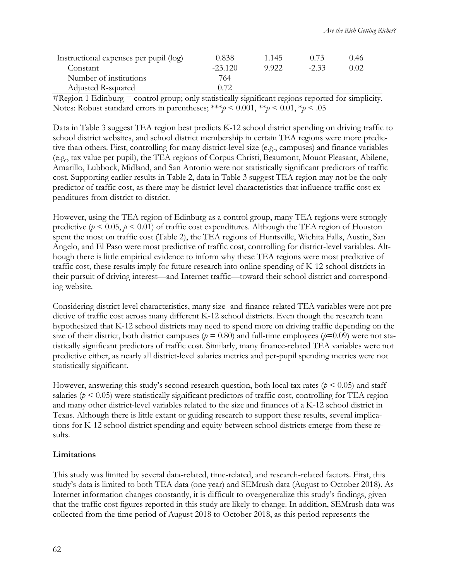| Instructional expenses per pupil (log) | 0.838     | 1.145 |        | 0.46 |  |
|----------------------------------------|-----------|-------|--------|------|--|
| Constant                               | $-23.120$ | 9.922 | $-233$ | ) 02 |  |
| Number of institutions                 | 764.      |       |        |      |  |
| Adjusted R-squared                     | 0.72      |       |        |      |  |

#Region 1 Edinburg = control group; only statistically significant regions reported for simplicity. Notes: Robust standard errors in parentheses; \*\*\**p* < 0.001, \*\**p* < 0.01, \**p* < .05

Data in Table 3 suggest TEA region best predicts K-12 school district spending on driving traffic to school district websites, and school district membership in certain TEA regions were more predictive than others. First, controlling for many district-level size (e.g., campuses) and finance variables (e.g., tax value per pupil), the TEA regions of Corpus Christi, Beaumont, Mount Pleasant, Abilene, Amarillo, Lubbock, Midland, and San Antonio were not statistically significant predictors of traffic cost. Supporting earlier results in Table 2, data in Table 3 suggest TEA region may not be the only predictor of traffic cost, as there may be district-level characteristics that influence traffic cost expenditures from district to district.

However, using the TEA region of Edinburg as a control group, many TEA regions were strongly predictive ( $p < 0.05$ ,  $p < 0.01$ ) of traffic cost expenditures. Although the TEA region of Houston spent the most on traffic cost (Table 2), the TEA regions of Huntsville, Wichita Falls, Austin, San Angelo, and El Paso were most predictive of traffic cost, controlling for district-level variables. Although there is little empirical evidence to inform why these TEA regions were most predictive of traffic cost, these results imply for future research into online spending of K-12 school districts in their pursuit of driving interest—and Internet traffic—toward their school district and corresponding website.

Considering district-level characteristics, many size- and finance-related TEA variables were not predictive of traffic cost across many different K-12 school districts. Even though the research team hypothesized that K-12 school districts may need to spend more on driving traffic depending on the size of their district, both district campuses ( $p = 0.80$ ) and full-time employees ( $p=0.09$ ) were not statistically significant predictors of traffic cost. Similarly, many finance-related TEA variables were not predictive either, as nearly all district-level salaries metrics and per-pupil spending metrics were not statistically significant.

However, answering this study's second research question, both local tax rates ( $p < 0.05$ ) and staff salaries ( $p < 0.05$ ) were statistically significant predictors of traffic cost, controlling for TEA region and many other district-level variables related to the size and finances of a K-12 school district in Texas. Although there is little extant or guiding research to support these results, several implications for K-12 school district spending and equity between school districts emerge from these results.

## **Limitations**

This study was limited by several data-related, time-related, and research-related factors. First, this study's data is limited to both TEA data (one year) and SEMrush data (August to October 2018). As Internet information changes constantly, it is difficult to overgeneralize this study's findings, given that the traffic cost figures reported in this study are likely to change. In addition, SEMrush data was collected from the time period of August 2018 to October 2018, as this period represents the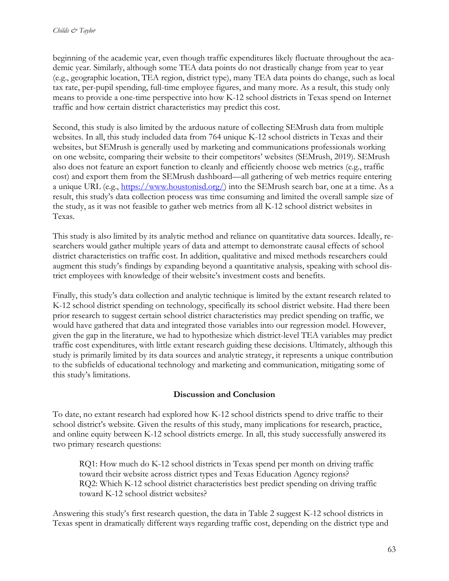beginning of the academic year, even though traffic expenditures likely fluctuate throughout the academic year. Similarly, although some TEA data points do not drastically change from year to year (e.g., geographic location, TEA region, district type), many TEA data points do change, such as local tax rate, per-pupil spending, full-time employee figures, and many more. As a result, this study only means to provide a one-time perspective into how K-12 school districts in Texas spend on Internet traffic and how certain district characteristics may predict this cost.

Second, this study is also limited by the arduous nature of collecting SEMrush data from multiple websites. In all, this study included data from 764 unique K-12 school districts in Texas and their websites, but SEMrush is generally used by marketing and communications professionals working on one website, comparing their website to their competitors' websites (SEMrush, 2019). SEMrush also does not feature an export function to cleanly and efficiently choose web metrics (e.g., traffic cost) and export them from the SEMrush dashboard—all gathering of web metrics require entering a unique URL (e.g., [https://www.houstonisd.org/\)](https://www.houstonisd.org/) into the SEMrush search bar, one at a time. As a result, this study's data collection process was time consuming and limited the overall sample size of the study, as it was not feasible to gather web metrics from all K-12 school district websites in Texas.

This study is also limited by its analytic method and reliance on quantitative data sources. Ideally, researchers would gather multiple years of data and attempt to demonstrate causal effects of school district characteristics on traffic cost. In addition, qualitative and mixed methods researchers could augment this study's findings by expanding beyond a quantitative analysis, speaking with school district employees with knowledge of their website's investment costs and benefits.

Finally, this study's data collection and analytic technique is limited by the extant research related to K-12 school district spending on technology, specifically its school district website. Had there been prior research to suggest certain school district characteristics may predict spending on traffic, we would have gathered that data and integrated those variables into our regression model. However, given the gap in the literature, we had to hypothesize which district-level TEA variables may predict traffic cost expenditures, with little extant research guiding these decisions. Ultimately, although this study is primarily limited by its data sources and analytic strategy, it represents a unique contribution to the subfields of educational technology and marketing and communication, mitigating some of this study's limitations.

## **Discussion and Conclusion**

To date, no extant research had explored how K-12 school districts spend to drive traffic to their school district's website. Given the results of this study, many implications for research, practice, and online equity between K-12 school districts emerge. In all, this study successfully answered its two primary research questions:

RQ1: How much do K-12 school districts in Texas spend per month on driving traffic toward their website across district types and Texas Education Agency regions? RQ2: Which K-12 school district characteristics best predict spending on driving traffic toward K-12 school district websites?

Answering this study's first research question, the data in Table 2 suggest K-12 school districts in Texas spent in dramatically different ways regarding traffic cost, depending on the district type and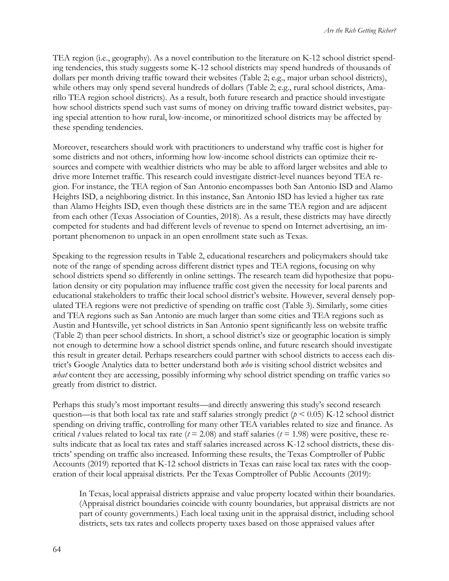TEA region (i.e., geography). As a novel contribution to the literature on K-12 school district spending tendencies, this study suggests some K-12 school districts may spend hundreds of thousands of dollars per month driving traffic toward their websites (Table 2; e.g., major urban school districts), while others may only spend several hundreds of dollars (Table 2; e.g., rural school districts, Amarillo TEA region school districts). As a result, both future research and practice should investigate how school districts spend such vast sums of money on driving traffic toward district websites, paying special attention to how rural, low-income, or minoritized school districts may be affected by these spending tendencies.

Moreover, researchers should work with practitioners to understand why traffic cost is higher for some districts and not others, informing how low-income school districts can optimize their resources and compete with wealthier districts who may be able to afford larger websites and able to drive more Internet traffic. This research could investigate district-level nuances beyond TEA region. For instance, the TEA region of San Antonio encompasses both San Antonio ISD and Alamo Heights ISD, a neighboring district. In this instance, San Antonio ISD has levied a higher tax rate than Alamo Heights ISD, even though these districts are in the same TEA region and are adjacent from each other (Texas Association of Counties, 2018). As a result, these districts may have directly competed for students and had different levels of revenue to spend on Internet advertising, an important phenomenon to unpack in an open enrollment state such as Texas.

Speaking to the regression results in Table 2, educational researchers and policymakers should take note of the range of spending across different district types and TEA regions, focusing on why school districts spend so differently in online settings. The research team did hypothesize that population density or city population may influence traffic cost given the necessity for local parents and educational stakeholders to traffic their local school district's website. However, several densely populated TEA regions were not predictive of spending on traffic cost (Table 3). Similarly, some cities and TEA regions such as San Antonio are much larger than some cities and TEA regions such as Austin and Huntsville, yet school districts in San Antonio spent significantly less on website traffic (Table 2) than peer school districts. In short, a school district's size or geographic location is simply not enough to determine how a school district spends online, and future research should investigate this result in greater detail. Perhaps researchers could partner with school districts to access each district's Google Analytics data to better understand both *who* is visiting school district websites and *what* content they are accessing, possibly informing why school district spending on traffic varies so greatly from district to district.

Perhaps this study's most important results—and directly answering this study's second research question—is that both local tax rate and staff salaries strongly predict (*p* < 0.05) K-12 school district spending on driving traffic, controlling for many other TEA variables related to size and finance. As critical *t* values related to local tax rate ( $t = 2.08$ ) and staff salaries ( $t = 1.98$ ) were positive, these results indicate that as local tax rates and staff salaries increased across K-12 school districts, these districts' spending on traffic also increased. Informing these results, the Texas Comptroller of Public Accounts (2019) reported that K-12 school districts in Texas can raise local tax rates with the cooperation of their local appraisal districts. Per the Texas Comptroller of Public Accounts (2019):

In Texas, local appraisal districts appraise and value property located within their boundaries. (Appraisal district boundaries coincide with county boundaries, but appraisal districts are not part of county governments.) Each local taxing unit in the appraisal district, including school districts, sets tax rates and collects property taxes based on those appraised values after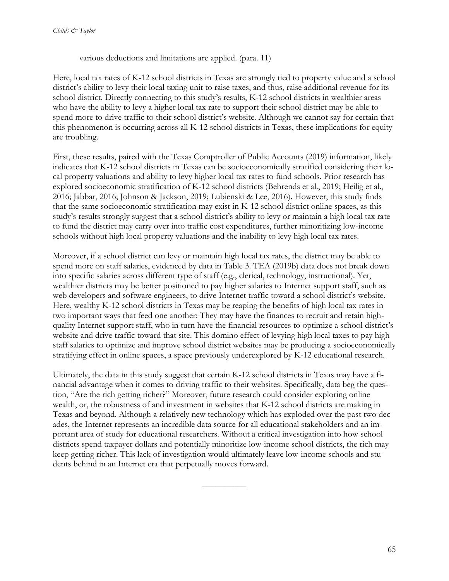various deductions and limitations are applied. (para. 11)

Here, local tax rates of K-12 school districts in Texas are strongly tied to property value and a school district's ability to levy their local taxing unit to raise taxes, and thus, raise additional revenue for its school district. Directly connecting to this study's results, K-12 school districts in wealthier areas who have the ability to levy a higher local tax rate to support their school district may be able to spend more to drive traffic to their school district's website. Although we cannot say for certain that this phenomenon is occurring across all K-12 school districts in Texas, these implications for equity are troubling.

First, these results, paired with the Texas Comptroller of Public Accounts (2019) information, likely indicates that K-12 school districts in Texas can be socioeconomically stratified considering their local property valuations and ability to levy higher local tax rates to fund schools. Prior research has explored socioeconomic stratification of K-12 school districts (Behrends et al., 2019; Heilig et al., 2016; Jabbar, 2016; Johnson & Jackson, 2019; Lubienski & Lee, 2016). However, this study finds that the same socioeconomic stratification may exist in K-12 school district online spaces, as this study's results strongly suggest that a school district's ability to levy or maintain a high local tax rate to fund the district may carry over into traffic cost expenditures, further minoritizing low-income schools without high local property valuations and the inability to levy high local tax rates.

Moreover, if a school district can levy or maintain high local tax rates, the district may be able to spend more on staff salaries, evidenced by data in Table 3. TEA (2019b) data does not break down into specific salaries across different type of staff (e.g., clerical, technology, instructional). Yet, wealthier districts may be better positioned to pay higher salaries to Internet support staff, such as web developers and software engineers, to drive Internet traffic toward a school district's website. Here, wealthy K-12 school districts in Texas may be reaping the benefits of high local tax rates in two important ways that feed one another: They may have the finances to recruit and retain highquality Internet support staff, who in turn have the financial resources to optimize a school district's website and drive traffic toward that site. This domino effect of levying high local taxes to pay high staff salaries to optimize and improve school district websites may be producing a socioeconomically stratifying effect in online spaces, a space previously underexplored by K-12 educational research.

Ultimately, the data in this study suggest that certain K-12 school districts in Texas may have a financial advantage when it comes to driving traffic to their websites. Specifically, data beg the question, "Are the rich getting richer?" Moreover, future research could consider exploring online wealth, or, the robustness of and investment in websites that K-12 school districts are making in Texas and beyond. Although a relatively new technology which has exploded over the past two decades, the Internet represents an incredible data source for all educational stakeholders and an important area of study for educational researchers. Without a critical investigation into how school districts spend taxpayer dollars and potentially minoritize low-income school districts, the rich may keep getting richer. This lack of investigation would ultimately leave low-income schools and students behind in an Internet era that perpetually moves forward.

 $\overline{\phantom{a}}$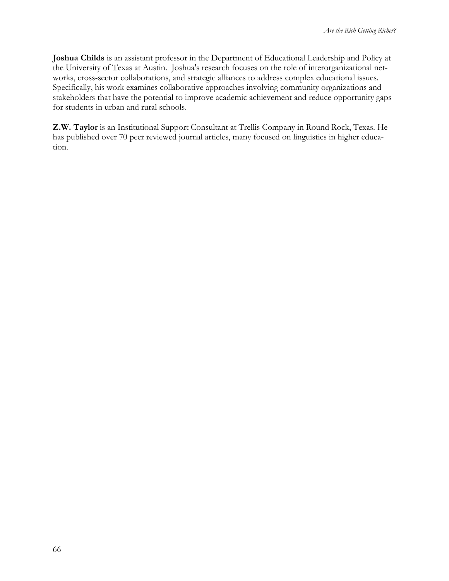**Joshua Childs** is an assistant professor in the Department of Educational Leadership and Policy at the University of Texas at Austin. Joshua's research focuses on the role of interorganizational networks, cross-sector collaborations, and strategic alliances to address complex educational issues. Specifically, his work examines collaborative approaches involving community organizations and stakeholders that have the potential to improve academic achievement and reduce opportunity gaps for students in urban and rural schools.

**Z.W. Taylor** is an Institutional Support Consultant at Trellis Company in Round Rock, Texas. He has published over 70 peer reviewed journal articles, many focused on linguistics in higher education.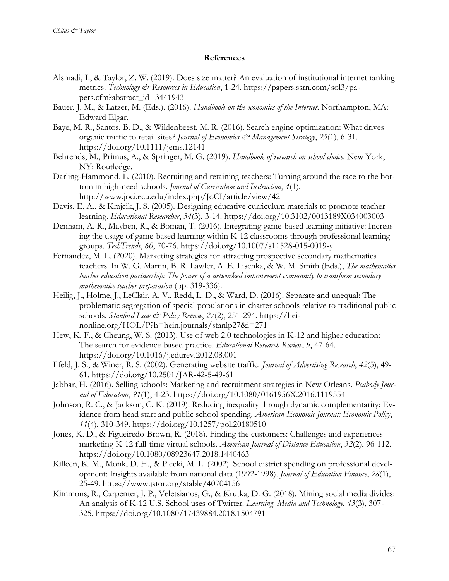#### **References**

- Alsmadi, I., & Taylor, Z. W. (2019). Does size matter? An evaluation of institutional internet ranking metrics. *Technology & Resources in Education*, 1-24. https://papers.ssrn.com/sol3/papers.cfm?abstract\_id=3441943
- Bauer, J. M., & Latzer, M. (Eds.). (2016). *Handbook on the economics of the Internet*. Northampton, MA: Edward Elgar.
- Baye, M. R., Santos, B. D., & Wildenbeest, M. R. (2016). Search engine optimization: What drives organic traffic to retail sites? *Journal of Economics & Management Strategy*, *25*(1), 6-31. https://doi.org/10.1111/jems.12141
- Behrends, M., Primus, A., & Springer, M. G. (2019). *Handbook of research on school choice*. New York, NY: Routledge.
- Darling-Hammond, L. (2010). Recruiting and retaining teachers: Turning around the race to the bottom in high-need schools. *Journal of Curriculum and Instruction*, *4*(1). http://www.joci.ecu.edu/index.php/JoCI/article/view/42
- Davis, E. A., & Krajcik, J. S. (2005). Designing educative curriculum materials to promote teacher learning. *Educational Researcher*, *34*(3), 3-14. https://doi.org/10.3102/0013189X034003003
- Denham, A. R., Mayben, R., & Boman, T. (2016). Integrating game-based learning initiative: Increasing the usage of game-based learning within K-12 classrooms through professional learning groups. *TechTrends*, *60*, 70-76. https://doi.org/10.1007/s11528-015-0019-y
- Fernandez, M. L. (2020). Marketing strategies for attracting prospective secondary mathematics teachers. In W. G. Martin, B. R. Lawler, A. E. Lischka, & W. M. Smith (Eds.), *The mathematics teacher education partnership: The power of a networked improvement community to transform secondary mathematics teacher preparation* (pp. 319-336).
- Heilig, J., Holme, J., LeClair, A. V., Redd, L. D., & Ward, D. (2016). Separate and unequal: The problematic segregation of special populations in charter schools relative to traditional public schools. *Stanford Law & Policy Review*, *27*(2), 251-294. https://heinonline.org/HOL/P?h=hein.journals/stanlp27&i=271
- Hew, K. F., & Cheung, W. S. (2013). Use of web 2.0 technologies in K-12 and higher education: The search for evidence-based practice. *Educational Research Review*, *9*, 47-64. https://doi.org/10.1016/j.edurev.2012.08.001
- Ilfeld, J. S., & Winer, R. S. (2002). Generating website traffic. *Journal of Advertising Research*, *42*(5), 49- 61. https://doi.org/10.2501/JAR-42-5-49-61
- Jabbar, H. (2016). Selling schools: Marketing and recruitment strategies in New Orleans. *Peabody Journal of Education*, *91*(1), 4-23. https://doi.org/10.1080/0161956X.2016.1119554
- Johnson, R. C., & Jackson, C. K. (2019). Reducing inequality through dynamic complementarity: Evidence from head start and public school spending. *American Economic Journal: Economic Policy*, *11*(4), 310-349. https://doi.org/10.1257/pol.20180510
- Jones, K. D., & Figueiredo-Brown, R. (2018). Finding the customers: Challenges and experiences marketing K-12 full-time virtual schools. *American Journal of Distance Education*, *32*(2), 96-112. https://doi.org/10.1080/08923647.2018.1440463
- Killeen, K. M., Monk, D. H., & Plecki, M. L. (2002). School district spending on professional development: Insights available from national data (1992-1998). *Journal of Education Finance*, *28*(1), 25-49. https://www.jstor.org/stable/40704156
- Kimmons, R., Carpenter, J. P., Veletsianos, G., & Krutka, D. G. (2018). Mining social media divides: An analysis of K-12 U.S. School uses of Twitter. *Learning, Media and Technology*, *43*(3), 307- 325. https://doi.org/10.1080/17439884.2018.1504791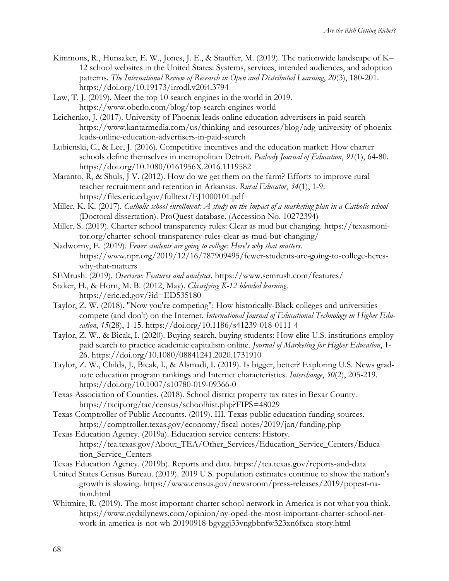- Kimmons, R., Hunsaker, E. W., Jones, J. E., & Stauffer, M. (2019). The nationwide landscape of K– 12 school websites in the United States: Systems, services, intended audiences, and adoption patterns. *The International Review of Research in Open and Distributed Learning*, *20*(3), 180-201. https://doi.org/10.19173/irrodl.v20i4.3794
- Law, T. J. (2019). Meet the top 10 search engines in the world in 2019. https://www.oberlo.com/blog/top-search-engines-world
- Leichenko, J. (2017). University of Phoenix leads online education advertisers in paid search https://www.kantarmedia.com/us/thinking-and-resources/blog/adg-university-of-phoenixleads-online-education-advertisers-in-paid-search
- Lubienski, C., & Lee, J. (2016). Competitive incentives and the education market: How charter schools define themselves in metropolitan Detroit. *Peabody Journal of Education*, *91*(1), 64-80. https://doi.org/10.1080/0161956X.2016.1119582
- Maranto, R, & Shuls, J V. (2012). How do we get them on the farm? Efforts to improve rural teacher recruitment and retention in Arkansas. *Rural Educator*, *34*(1), 1-9. https://files.eric.ed.gov/fulltext/EJ1000101.pdf
- Miller, K. K. (2017). *Catholic school enrollment: A study on the impact of a marketing plan in a Catholic school* (Doctoral dissertation). ProQuest database. (Accession No. 10272394)
- Miller, S. (2019). Charter school transparency rules: Clear as mud but changing. https://texasmonitor.org/charter-school-transparency-rules-clear-as-mud-but-changing/
- Nadworny, E. (2019). *Fewer students are going to college: Here's why that matters*. https://www.npr.org/2019/12/16/787909495/fewer-students-are-going-to-college-hereswhy-that-matters
- SEMrush. (2019). *Overview: Features and analytics*. https://www.semrush.com/features/
- Staker, H., & Horn, M. B. (2012, May). *Classifying K-12 blended learning*. https://eric.ed.gov/?id=ED535180
- Taylor, Z. W. (2018). "Now you're competing": How historically-Black colleges and universities compete (and don't) on the Internet. *International Journal of Educational Technology in Higher Education*, *15*(28), 1-15. https://doi.org/10.1186/s41239-018-0111-4
- Taylor, Z. W., & Bicak, I. (2020). Buying search, buying students: How elite U.S. institutions employ paid search to practice academic capitalism online. *Journal of Marketing for Higher Education*, 1- 26. https://doi.org/10.1080/08841241.2020.1731910
- Taylor, Z. W., Childs, J., Bicak, I., & Alsmadi, I. (2019). Is bigger, better? Exploring U.S. News graduate education program rankings and Internet characteristics. *Interchange*, *50*(2), 205-219. https://doi.org/10.1007/s10780-019-09366-0
- Texas Association of Counties. (2018). School district property tax rates in Bexar County. https://txcip.org/tac/census/schoolhist.php?FIPS=48029
- Texas Comptroller of Public Accounts. (2019). III. Texas public education funding sources. https://comptroller.texas.gov/economy/fiscal-notes/2019/jan/funding.php
- Texas Education Agency. (2019a). Education service centers: History. https://tea.texas.gov/About\_TEA/Other\_Services/Education\_Service\_Centers/Education\_Service\_Centers
- Texas Education Agency. (2019b). Reports and data. https://tea.texas.gov/reports-and-data
- United States Census Bureau. (2019). 2019 U.S. population estimates continue to show the nation's growth is slowing. https://www.census.gov/newsroom/press-releases/2019/popest-nation.html
- Whitmire, R. (2019). The most important charter school network in America is not what you think. https://www.nydailynews.com/opinion/ny-oped-the-most-important-charter-school-network-in-america-is-not-wh-20190918-bgvggj33vngbbnfw323xn6fxca-story.html